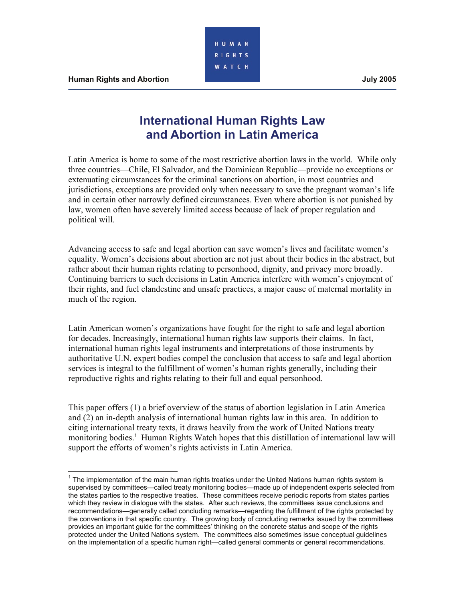$\overline{a}$ 

# **International Human Rights Law and Abortion in Latin America**

Latin America is home to some of the most restrictive abortion laws in the world. While only three countries—Chile, El Salvador, and the Dominican Republic—provide no exceptions or extenuating circumstances for the criminal sanctions on abortion, in most countries and jurisdictions, exceptions are provided only when necessary to save the pregnant woman's life and in certain other narrowly defined circumstances. Even where abortion is not punished by law, women often have severely limited access because of lack of proper regulation and political will.

Advancing access to safe and legal abortion can save women's lives and facilitate women's equality. Women's decisions about abortion are not just about their bodies in the abstract, but rather about their human rights relating to personhood, dignity, and privacy more broadly. Continuing barriers to such decisions in Latin America interfere with women's enjoyment of their rights, and fuel clandestine and unsafe practices, a major cause of maternal mortality in much of the region.

Latin American women's organizations have fought for the right to safe and legal abortion for decades. Increasingly, international human rights law supports their claims. In fact, international human rights legal instruments and interpretations of those instruments by authoritative U.N. expert bodies compel the conclusion that access to safe and legal abortion services is integral to the fulfillment of women's human rights generally, including their reproductive rights and rights relating to their full and equal personhood.

This paper offers (1) a brief overview of the status of abortion legislation in Latin America and (2) an in-depth analysis of international human rights law in this area. In addition to citing international treaty texts, it draws heavily from the work of United Nations treaty monitoring bodies.<sup>1</sup> Human Rights Watch hopes that this distillation of international law will support the efforts of women's rights activists in Latin America.

 $1$  The implementation of the main human rights treaties under the United Nations human rights system is supervised by committees—called treaty monitoring bodies—made up of independent experts selected from the states parties to the respective treaties. These committees receive periodic reports from states parties which they review in dialogue with the states. After such reviews, the committees issue conclusions and recommendations—generally called concluding remarks—regarding the fulfillment of the rights protected by the conventions in that specific country. The growing body of concluding remarks issued by the committees provides an important guide for the committees' thinking on the concrete status and scope of the rights protected under the United Nations system. The committees also sometimes issue conceptual guidelines on the implementation of a specific human right—called general comments or general recommendations.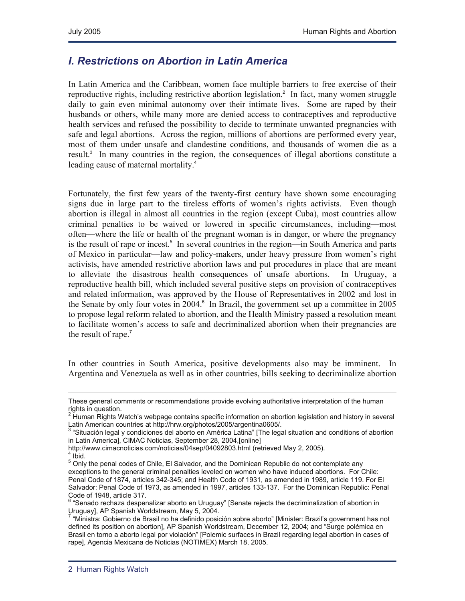# *I. Restrictions on Abortion in Latin America*

In Latin America and the Caribbean, women face multiple barriers to free exercise of their reproductive rights, including restrictive abortion legislation.<sup>2</sup> In fact, many women struggle daily to gain even minimal autonomy over their intimate lives. Some are raped by their husbands or others, while many more are denied access to contraceptives and reproductive health services and refused the possibility to decide to terminate unwanted pregnancies with safe and legal abortions. Across the region, millions of abortions are performed every year, most of them under unsafe and clandestine conditions, and thousands of women die as a result.<sup>3</sup> In many countries in the region, the consequences of illegal abortions constitute a leading cause of maternal mortality.<sup>4</sup>

Fortunately, the first few years of the twenty-first century have shown some encouraging signs due in large part to the tireless efforts of women's rights activists. Even though abortion is illegal in almost all countries in the region (except Cuba), most countries allow criminal penalties to be waived or lowered in specific circumstances, including—most often—where the life or health of the pregnant woman is in danger, or where the pregnancy is the result of rape or incest.<sup>5</sup> In several countries in the region—in South America and parts of Mexico in particular—law and policy-makers, under heavy pressure from women's right activists, have amended restrictive abortion laws and put procedures in place that are meant to alleviate the disastrous health consequences of unsafe abortions. In Uruguay, a reproductive health bill, which included several positive steps on provision of contraceptives and related information, was approved by the House of Representatives in 2002 and lost in the Senate by only four votes in  $2004$ <sup>6</sup> In Brazil, the government set up a committee in  $2005$ to propose legal reform related to abortion, and the Health Ministry passed a resolution meant to facilitate women's access to safe and decriminalized abortion when their pregnancies are the result of rape.<sup>7</sup>

In other countries in South America, positive developments also may be imminent. In Argentina and Venezuela as well as in other countries, bills seeking to decriminalize abortion

http://www.cimacnoticias.com/noticias/04sep/04092803.html (retrieved May 2, 2005).

 $<sup>4</sup>$  Ibid.</sup>

 $\overline{a}$ 

These general comments or recommendations provide evolving authoritative interpretation of the human rights in question.<br><sup>2</sup> Human Bighte W

Human Rights Watch's webpage contains specific information on abortion legislation and history in several Latin American countries at http://hrw.org/photos/2005/argentina0605/.<br><sup>3</sup> "Situación legal y condiciones del aborto en América Latina" [The legal situation and conditions of abortion

in Latin America], CIMAC Noticias, September 28, 2004,[online]

<sup>&</sup>lt;sup>5</sup> Only the penal codes of Chile, El Salvador, and the Dominican Republic do not contemplate any exceptions to the general criminal penalties leveled on women who have induced abortions. For Chile: Penal Code of 1874, articles 342-345; and Health Code of 1931, as amended in 1989, article 119. For El Salvador: Penal Code of 1973, as amended in 1997, articles 133-137. For the Dominican Republic: Penal Code of 1948, article 317.<br><sup>6</sup> "Canade reshaze deenan

 <sup>&</sup>quot;Senado rechaza despenalizar aborto en Uruguay" [Senate rejects the decriminalization of abortion in

Uruguay], AP Spanish Worldstream, May 5, 2004.<br><sup>7</sup> "Ministra: Gobierno de Brasil no ha definido posición sobre aborto" [Minister: Brazil's government has not defined its position on abortion], AP Spanish Worldstream, December 12, 2004; and "Surge polémica en Brasil en torno a aborto legal por violación" [Polemic surfaces in Brazil regarding legal abortion in cases of rape], Agencia Mexicana de Noticias (NOTIMEX) March 18, 2005.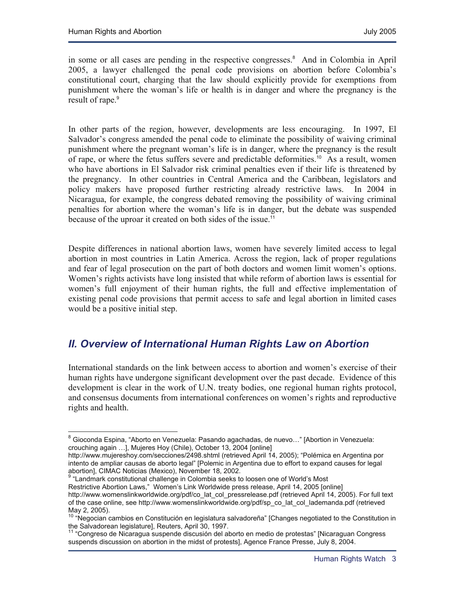in some or all cases are pending in the respective congresses.<sup>8</sup> And in Colombia in April 2005, a lawyer challenged the penal code provisions on abortion before Colombia's constitutional court, charging that the law should explicitly provide for exemptions from punishment where the woman's life or health is in danger and where the pregnancy is the result of rape.<sup>9</sup>

In other parts of the region, however, developments are less encouraging. In 1997, El Salvador's congress amended the penal code to eliminate the possibility of waiving criminal punishment where the pregnant woman's life is in danger, where the pregnancy is the result of rape, or where the fetus suffers severe and predictable deformities.<sup>10</sup> As a result, women who have abortions in El Salvador risk criminal penalties even if their life is threatened by the pregnancy. In other countries in Central America and the Caribbean, legislators and policy makers have proposed further restricting already restrictive laws. In 2004 in Nicaragua, for example, the congress debated removing the possibility of waiving criminal penalties for abortion where the woman's life is in danger, but the debate was suspended because of the uproar it created on both sides of the issue.<sup>11</sup>

Despite differences in national abortion laws, women have severely limited access to legal abortion in most countries in Latin America. Across the region, lack of proper regulations and fear of legal prosecution on the part of both doctors and women limit women's options. Women's rights activists have long insisted that while reform of abortion laws is essential for women's full enjoyment of their human rights, the full and effective implementation of existing penal code provisions that permit access to safe and legal abortion in limited cases would be a positive initial step.

# *II. Overview of International Human Rights Law on Abortion*

International standards on the link between access to abortion and women's exercise of their human rights have undergone significant development over the past decade. Evidence of this development is clear in the work of U.N. treaty bodies, one regional human rights protocol, and consensus documents from international conferences on women's rights and reproductive rights and health.

Restrictive Abortion Laws," Women's Link Worldwide press release, April 14, 2005 [online] http://www.womenslinkworldwide.org/pdf/co\_lat\_col\_pressrelease.pdf (retrieved April 14, 2005). For full text of the case online, see http://www.womenslinkworldwide.org/pdf/sp\_co\_lat\_col\_lademanda.pdf (retrieved May 2, 2005).

 $\overline{a}$ <sup>8</sup> Gioconda Espina, "Aborto en Venezuela: Pasando agachadas, de nuevo..." [Abortion in Venezuela: crouching again …], Mujeres Hoy (Chile), October 13, 2004 [online]

http://www.mujereshoy.com/secciones/2498.shtml (retrieved April 14, 2005); "Polémica en Argentina por intento de ampliar causas de aborto legal" [Polemic in Argentina due to effort to expand causes for legal abortion], CIMAC Noticias (Mexico), November 18, 2002.<br><sup>9</sup> "Landmark constitutional challenge in Colombia seeks to loosen one of World's Most

<sup>&</sup>lt;sup>10</sup> "Negocian cambios en Constitución en legislatura salvadoreña" [Changes negotiated to the Constitution in the Salvadorean legislature], Reuters, April 30, 1997.<br><sup>11</sup> "Congreso de Nicaragua suspende discusión del aborto en medio de protestas" [Nicaraguan Congress

suspends discussion on abortion in the midst of protests], Agence France Presse, July 8, 2004.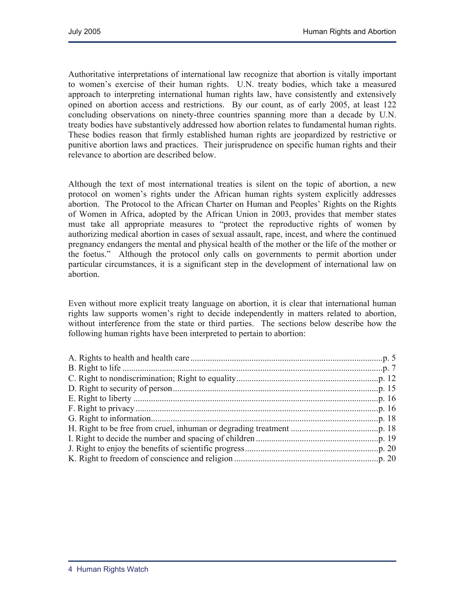Authoritative interpretations of international law recognize that abortion is vitally important to women's exercise of their human rights. U.N. treaty bodies, which take a measured approach to interpreting international human rights law, have consistently and extensively opined on abortion access and restrictions. By our count, as of early 2005, at least 122 concluding observations on ninety-three countries spanning more than a decade by U.N. treaty bodies have substantively addressed how abortion relates to fundamental human rights. These bodies reason that firmly established human rights are jeopardized by restrictive or punitive abortion laws and practices. Their jurisprudence on specific human rights and their relevance to abortion are described below.

Although the text of most international treaties is silent on the topic of abortion, a new protocol on women's rights under the African human rights system explicitly addresses abortion. The Protocol to the African Charter on Human and Peoples' Rights on the Rights of Women in Africa, adopted by the African Union in 2003, provides that member states must take all appropriate measures to "protect the reproductive rights of women by authorizing medical abortion in cases of sexual assault, rape, incest, and where the continued pregnancy endangers the mental and physical health of the mother or the life of the mother or the foetus." Although the protocol only calls on governments to permit abortion under particular circumstances, it is a significant step in the development of international law on abortion.

Even without more explicit treaty language on abortion, it is clear that international human rights law supports women's right to decide independently in matters related to abortion, without interference from the state or third parties. The sections below describe how the following human rights have been interpreted to pertain to abortion: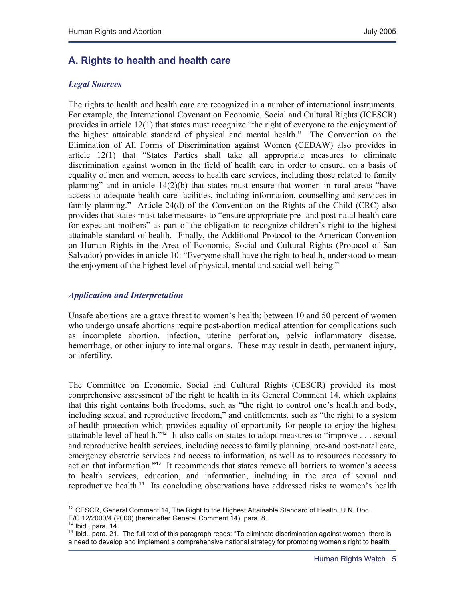# **A. Rights to health and health care**

#### *Legal Sources*

The rights to health and health care are recognized in a number of international instruments. For example, the International Covenant on Economic, Social and Cultural Rights (ICESCR) provides in article 12(1) that states must recognize "the right of everyone to the enjoyment of the highest attainable standard of physical and mental health." The Convention on the Elimination of All Forms of Discrimination against Women (CEDAW) also provides in article 12(1) that "States Parties shall take all appropriate measures to eliminate discrimination against women in the field of health care in order to ensure, on a basis of equality of men and women, access to health care services, including those related to family planning" and in article 14(2)(b) that states must ensure that women in rural areas "have access to adequate health care facilities, including information, counselling and services in family planning." Article 24(d) of the Convention on the Rights of the Child (CRC) also provides that states must take measures to "ensure appropriate pre- and post-natal health care for expectant mothers" as part of the obligation to recognize children's right to the highest attainable standard of health. Finally, the Additional Protocol to the American Convention on Human Rights in the Area of Economic, Social and Cultural Rights (Protocol of San Salvador) provides in article 10: "Everyone shall have the right to health, understood to mean the enjoyment of the highest level of physical, mental and social well-being."

#### *Application and Interpretation*

Unsafe abortions are a grave threat to women's health; between 10 and 50 percent of women who undergo unsafe abortions require post-abortion medical attention for complications such as incomplete abortion, infection, uterine perforation, pelvic inflammatory disease, hemorrhage, or other injury to internal organs. These may result in death, permanent injury, or infertility.

The Committee on Economic, Social and Cultural Rights (CESCR) provided its most comprehensive assessment of the right to health in its General Comment 14, which explains that this right contains both freedoms, such as "the right to control one's health and body, including sexual and reproductive freedom," and entitlements, such as "the right to a system of health protection which provides equality of opportunity for people to enjoy the highest attainable level of health."<sup>12</sup> It also calls on states to adopt measures to "improve . . . sexual and reproductive health services, including access to family planning, pre-and post-natal care, emergency obstetric services and access to information, as well as to resources necessary to act on that information."<sup>13</sup> It recommends that states remove all barriers to women's access to health services, education, and information, including in the area of sexual and reproductive health.<sup>14</sup> Its concluding observations have addressed risks to women's health

 $\overline{a}$ 

 $12$  CESCR, General Comment 14, The Right to the Highest Attainable Standard of Health, U.N. Doc.

E/C.12/2000/4 (2000) (hereinafter General Comment 14), para. 8.<br><sup>13</sup> Ibid., para. 14.<br><sup>14</sup> Ibid., para. 21. The full text of this paragraph reads: "To eliminate discrimination against women, there is a need to develop and implement a comprehensive national strategy for promoting women's right to health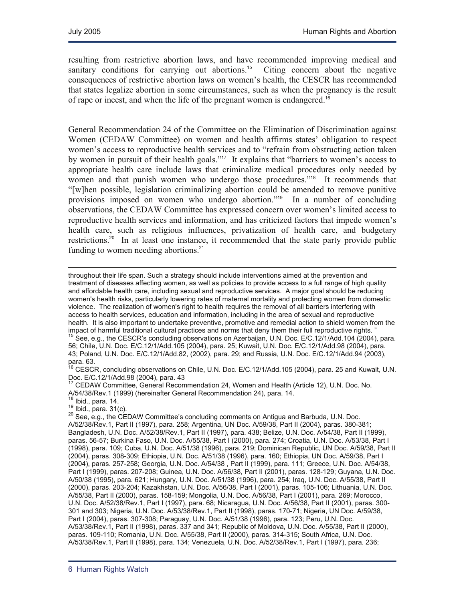resulting from restrictive abortion laws, and have recommended improving medical and sanitary conditions for carrying out abortions.<sup>15</sup> Citing concern about the negative consequences of restrictive abortion laws on women's health, the CESCR has recommended that states legalize abortion in some circumstances, such as when the pregnancy is the result of rape or incest, and when the life of the pregnant women is endangered.<sup>16</sup>

General Recommendation 24 of the Committee on the Elimination of Discrimination against Women (CEDAW Committee) on women and health affirms states' obligation to respect women's access to reproductive health services and to "refrain from obstructing action taken by women in pursuit of their health goals."<sup>17</sup> It explains that "barriers to women's access to appropriate health care include laws that criminalize medical procedures only needed by women and that punish women who undergo those procedures."<sup>18</sup> It recommends that "[w]hen possible, legislation criminalizing abortion could be amended to remove punitive provisions imposed on women who undergo abortion."<sup>19</sup> In a number of concluding observations, the CEDAW Committee has expressed concern over women's limited access to reproductive health services and information, and has criticized factors that impede women's health care, such as religious influences, privatization of health care, and budgetary restrictions.<sup>20</sup> In at least one instance, it recommended that the state party provide public funding to women needing abortions.<sup>21</sup>

throughout their life span. Such a strategy should include interventions aimed at the prevention and treatment of diseases affecting women, as well as policies to provide access to a full range of high quality and affordable health care, including sexual and reproductive services. A major goal should be reducing women's health risks, particularly lowering rates of maternal mortality and protecting women from domestic violence. The realization of women's right to health requires the removal of all barriers interfering with access to health services, education and information, including in the area of sexual and reproductive health. It is also important to undertake preventive, promotive and remedial action to shield women from the impact of harmful traditional cultural practices and norms that deny them their full reproductive rights. "<br><sup>15</sup> See, e.g., the CESCR's concluding observations on Azerbaijan, U.N. Doc. E/C.12/1/Add.104 (2004), para. 56; Chile, U.N. Doc. E/C.12/1/Add.105 (2004), para. 25; Kuwait, U.N. Doc. E/C.12/1/Add.98 (2004), para. 43; Poland, U.N. Doc. E/C.12/1/Add.82, (2002), para. 29; and Russia, U.N. Doc. E/C.12/1/Add.94 (2003), para.  $63.$ 

<sup>16</sup> CESCR, concluding observations on Chile, U.N. Doc. E/C.12/1/Add.105 (2004), para. 25 and Kuwait, U.N.<br>Doc. E/C.12/1/Add.98 (2004), para. 43

<sup>17</sup> CEDAW Committee, General Recommendation 24, Women and Health (Article 12), U.N. Doc. No.<br>A/54/38/Rev.1 (1999) (hereinafter General Recommendation 24), para. 14.

 $\overline{a}$ 

<sup>&</sup>lt;sup>18</sup> Ibid., para. 14.  $\overrightarrow{19}$ <br><sup>19</sup> Ibid., para. 31(c). 19 Ibid., para. 31(c). 20 See, e.g., the CEDAW Committee's concluding comments on Antigua and Barbuda, U.N. Doc. A/52/38/Rev.1, Part II (1997), para. 258; Argentina, UN Doc. A/59/38, Part II (2004), paras. 380-381; Bangladesh, U.N. Doc. A/52/38/Rev.1, Part II (1997), para. 438; Belize, U.N. Doc. A/54/38, Part II (1999), paras. 56-57; Burkina Faso, U.N. Doc. A/55/38, Part I (2000), para. 274; Croatia, U.N. Doc. A/53/38, Part I (1998), para. 109; Cuba, U.N. Doc. A/51/38 (1996), para. 219; Dominican Republic, UN Doc. A/59/38, Part II (2004), paras. 308-309; Ethiopia, U.N. Doc. A/51/38 (1996), para. 160; Ethiopia, UN Doc. A/59/38, Part I (2004), paras. 257-258; Georgia, U.N. Doc. A/54/38 , Part II (1999), para. 111; Greece, U.N. Doc. A/54/38, Part I (1999), paras. 207-208; Guinea, U.N. Doc. A/56/38, Part II (2001), paras. 128-129; Guyana, U.N. Doc. A/50/38 (1995), para. 621; Hungary, U.N. Doc. A/51/38 (1996), para. 254; Iraq, U.N. Doc. A/55/38, Part II (2000), paras. 203-204; Kazakhstan, U.N. Doc. A/56/38, Part I (2001), paras. 105-106; Lithuania, U.N. Doc. A/55/38, Part II (2000), paras. 158-159; Mongolia, U.N. Doc. A/56/38, Part I (2001), para. 269; Morocco, U.N. Doc. A/52/38/Rev.1, Part I (1997), para. 68; Nicaragua, U.N. Doc. A/56/38, Part II (2001), paras. 300- 301 and 303; Nigeria, U.N. Doc. A/53/38/Rev.1, Part II (1998), paras. 170-71; Nigeria, UN Doc. A/59/38, Part I (2004), paras. 307-308; Paraguay, U.N. Doc. A/51/38 (1996), para. 123; Peru, U.N. Doc. A/53/38/Rev.1, Part II (1998), paras. 337 and 341; Republic of Moldova, U.N. Doc. A/55/38, Part II (2000), paras. 109-110; Romania, U.N. Doc. A/55/38, Part II (2000), paras. 314-315; South Africa, U.N. Doc. A/53/38/Rev.1, Part II (1998), para. 134; Venezuela, U.N. Doc. A/52/38/Rev.1, Part I (1997), para. 236;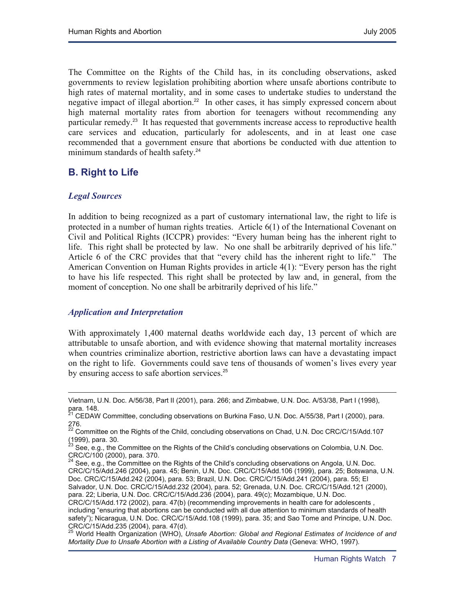The Committee on the Rights of the Child has, in its concluding observations, asked governments to review legislation prohibiting abortion where unsafe abortions contribute to high rates of maternal mortality, and in some cases to undertake studies to understand the negative impact of illegal abortion.<sup>22</sup> In other cases, it has simply expressed concern about high maternal mortality rates from abortion for teenagers without recommending any particular remedy.<sup>23</sup> It has requested that governments increase access to reproductive health care services and education, particularly for adolescents, and in at least one case recommended that a government ensure that abortions be conducted with due attention to minimum standards of health safety.<sup>24</sup>

# **B. Right to Life**

## *Legal Sources*

 $\overline{a}$ 

In addition to being recognized as a part of customary international law, the right to life is protected in a number of human rights treaties. Article 6(1) of the International Covenant on Civil and Political Rights (ICCPR) provides: "Every human being has the inherent right to life. This right shall be protected by law. No one shall be arbitrarily deprived of his life." Article 6 of the CRC provides that that "every child has the inherent right to life." The American Convention on Human Rights provides in article 4(1): "Every person has the right to have his life respected. This right shall be protected by law and, in general, from the moment of conception. No one shall be arbitrarily deprived of his life."

## *Application and Interpretation*

With approximately 1,400 maternal deaths worldwide each day, 13 percent of which are attributable to unsafe abortion, and with evidence showing that maternal mortality increases when countries criminalize abortion, restrictive abortion laws can have a devastating impact on the right to life. Governments could save tens of thousands of women's lives every year by ensuring access to safe abortion services.<sup>25</sup>

Vietnam, U.N. Doc. A/56/38, Part II (2001), para. 266; and Zimbabwe, U.N. Doc. A/53/38, Part I (1998), para.  $148.$ <br> $^{21}$  c = -

<sup>21</sup> CEDAW Committee, concluding observations on Burkina Faso, U.N. Doc. A/55/38, Part I (2000), para. 276.

 $^{22}$  Committee on the Rights of the Child, concluding observations on Chad, U.N. Doc CRC/C/15/Add.107 (1999), para. 30.

 $^{23}$  See, e.g., the Committee on the Rights of the Child's concluding observations on Colombia, U.N. Doc. CRC/C/100 (2000), para. 370.

 $^{24}$  See, e.g., the Committee on the Rights of the Child's concluding observations on Angola, U.N. Doc. CRC/C/15/Add.246 (2004), para. 45; Benin, U.N. Doc. CRC/C/15/Add.106 (1999), para. 25; Botswana, U.N. Doc. CRC/C/15/Add.242 (2004), para. 53; Brazil, U.N. Doc. CRC/C/15/Add.241 (2004), para. 55; El Salvador, U.N. Doc. CRC/C/15/Add.232 (2004), para. 52; Grenada, U.N. Doc. CRC/C/15/Add.121 (2000), para. 22; Liberia, U.N. Doc. CRC/C/15/Add.236 (2004), para. 49(c); Mozambique, U.N. Doc. CRC/C/15/Add.172 (2002), para. 47(b) (recommending improvements in health care for adolescents ,

including "ensuring that abortions can be conducted with all due attention to minimum standards of health safety"); Nicaragua, U.N. Doc. CRC/C/15/Add.108 (1999), para. 35; and Sao Tome and Principe, U.N. Doc. CRC/C/15/Add.235 (2004), para. 47(d).

<sup>25</sup> World Health Organization (WHO), *Unsafe Abortion: Global and Regional Estimates of Incidence of and Mortality Due to Unsafe Abortion with a Listing of Available Country Data* (Geneva: WHO, 1997).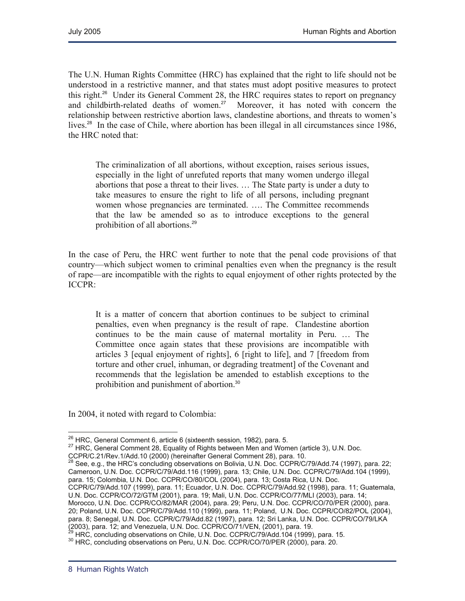The U.N. Human Rights Committee (HRC) has explained that the right to life should not be understood in a restrictive manner, and that states must adopt positive measures to protect this right.<sup>26</sup> Under its General Comment 28, the HRC requires states to report on pregnancy and childbirth-related deaths of women.<sup>27</sup> Moreover, it has noted with concern the relationship between restrictive abortion laws, clandestine abortions, and threats to women's lives.<sup>28</sup> In the case of Chile, where abortion has been illegal in all circumstances since 1986, the HRC noted that:

The criminalization of all abortions, without exception, raises serious issues, especially in the light of unrefuted reports that many women undergo illegal abortions that pose a threat to their lives. … The State party is under a duty to take measures to ensure the right to life of all persons, including pregnant women whose pregnancies are terminated. …. The Committee recommends that the law be amended so as to introduce exceptions to the general prohibition of all abortions.<sup>29</sup>

In the case of Peru, the HRC went further to note that the penal code provisions of that country—which subject women to criminal penalties even when the pregnancy is the result of rape—are incompatible with the rights to equal enjoyment of other rights protected by the ICCPR:

It is a matter of concern that abortion continues to be subject to criminal penalties, even when pregnancy is the result of rape. Clandestine abortion continues to be the main cause of maternal mortality in Peru. … The Committee once again states that these provisions are incompatible with articles 3 [equal enjoyment of rights], 6 [right to life], and 7 [freedom from torture and other cruel, inhuman, or degrading treatment] of the Covenant and recommends that the legislation be amended to establish exceptions to the prohibition and punishment of abortion.<sup>30</sup>

In 2004, it noted with regard to Colombia:

CCPR/C.21/Rev.1/Add.10 (2000) (hereinafter General Comment 28), para. 10.<br><sup>28</sup> See, e.g., the HRC's concluding observations on Bolivia, U.N. Doc. CCPR/C/79/Add.74 (1997), para. 22; Cameroon, U.N. Doc. CCPR/C/79/Add.116 (1999), para. 13; Chile, U.N. Doc. CCPR/C/79/Add.104 (1999), para. 15; Colombia, U.N. Doc. CCPR/CO/80/COL (2004), para. 13; Costa Rica, U.N. Doc.

CCPR/C/79/Add.107 (1999), para. 11; Ecuador, U.N. Doc. CCPR/C/79/Add.92 (1998), para. 11; Guatemala, U.N. Doc. CCPR/CO/72/GTM (2001), para. 19; Mali, U.N. Doc. CCPR/CO/77/MLI (2003), para. 14; Morocco, U.N. Doc. CCPR/CO/82/MAR (2004), para. 29; Peru, U.N. Doc. CCPR/CO/70/PER (2000), para.

20; Poland, U.N. Doc. CCPR/C/79/Add.110 (1999), para. 11; Poland, U.N. Doc. CCPR/CO/82/POL (2004), para. 8; Senegal, U.N. Doc. CCPR/C/79/Add.82 (1997), para. 12; Sri Lanka, U.N. Doc. CCPR/CO/79/LKA<br>(2003), para. 12; and Venezuela, U.N. Doc. CCPR/CO/71/VEN, (2001), para. 19.

<sup>29</sup> HRC, concluding observations on Chile, U.N. Doc. CCPR/C/79/Add. 104 (1999), para. 15.<br><sup>30</sup> HRC, concluding observations on Peru, U.N. Doc. CCPR/CO/70/PER (2000), para. 20.

<sup>&</sup>lt;sup>26</sup> HRC, General Comment 6, article 6 (sixteenth session, 1982), para. 5.

 $^{27}$  HRC, General Comment 28, Equality of Rights between Men and Women (article 3), U.N. Doc.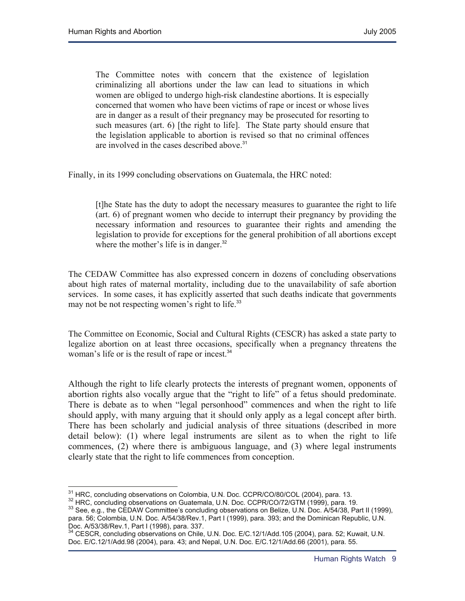The Committee notes with concern that the existence of legislation criminalizing all abortions under the law can lead to situations in which women are obliged to undergo high-risk clandestine abortions. It is especially concerned that women who have been victims of rape or incest or whose lives are in danger as a result of their pregnancy may be prosecuted for resorting to such measures (art. 6) [the right to life]. The State party should ensure that the legislation applicable to abortion is revised so that no criminal offences are involved in the cases described above.<sup>31</sup>

Finally, in its 1999 concluding observations on Guatemala, the HRC noted:

[t]he State has the duty to adopt the necessary measures to guarantee the right to life (art. 6) of pregnant women who decide to interrupt their pregnancy by providing the necessary information and resources to guarantee their rights and amending the legislation to provide for exceptions for the general prohibition of all abortions except where the mother's life is in danger. $32$ 

The CEDAW Committee has also expressed concern in dozens of concluding observations about high rates of maternal mortality, including due to the unavailability of safe abortion services. In some cases, it has explicitly asserted that such deaths indicate that governments may not be not respecting women's right to life.<sup>33</sup>

The Committee on Economic, Social and Cultural Rights (CESCR) has asked a state party to legalize abortion on at least three occasions, specifically when a pregnancy threatens the woman's life or is the result of rape or incest.<sup>34</sup>

Although the right to life clearly protects the interests of pregnant women, opponents of abortion rights also vocally argue that the "right to life" of a fetus should predominate. There is debate as to when "legal personhood" commences and when the right to life should apply, with many arguing that it should only apply as a legal concept after birth. There has been scholarly and judicial analysis of three situations (described in more detail below): (1) where legal instruments are silent as to when the right to life commences, (2) where there is ambiguous language, and (3) where legal instruments clearly state that the right to life commences from conception.

<sup>&</sup>lt;sup>31</sup> HRC, concluding observations on Colombia, U.N. Doc. CCPR/CO/80/COL (2004), para. 13.

<sup>&</sup>lt;sup>32</sup> HRC, concluding observations on Guatemala, U.N. Doc. CCPR/CO/72/GTM (1999), para. 19.<br><sup>33</sup> See, e.g., the CEDAW Committee's concluding observations on Belize, U.N. Doc. A/54/38, Part II (1999), para. 56; Colombia, U.N. Doc. A/54/38/Rev.1, Part I (1999), para. 393; and the Dominican Republic, U.N.<br>Doc. A/53/38/Rev.1, Part I (1998), para. 337.<br><sup>34</sup> CESCR, concluding observations an Obita, U.M. Doc. 763, 1999, 1999,

CESCR, concluding observations on Chile, U.N. Doc. E/C.12/1/Add.105 (2004), para. 52; Kuwait, U.N. Doc. E/C.12/1/Add.98 (2004), para. 43; and Nepal, U.N. Doc. E/C.12/1/Add.66 (2001), para. 55.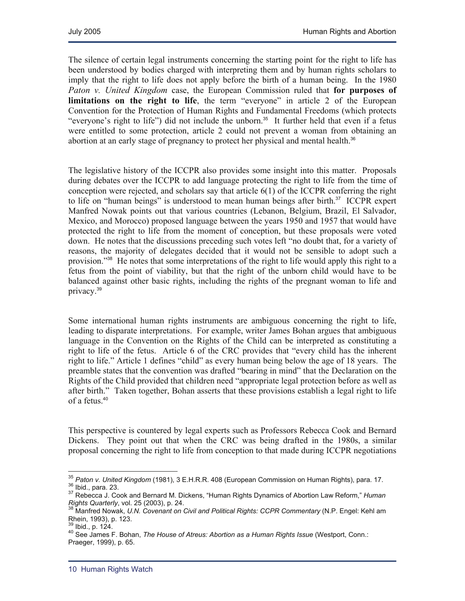The silence of certain legal instruments concerning the starting point for the right to life has been understood by bodies charged with interpreting them and by human rights scholars to imply that the right to life does not apply before the birth of a human being. In the 1980 *Paton v. United Kingdom* case, the European Commission ruled that **for purposes of limitations on the right to life**, the term "everyone" in article 2 of the European Convention for the Protection of Human Rights and Fundamental Freedoms (which protects "everyone's right to life") did not include the unborn.<sup>35</sup> It further held that even if a fetus were entitled to some protection, article 2 could not prevent a woman from obtaining an abortion at an early stage of pregnancy to protect her physical and mental health.<sup>36</sup>

The legislative history of the ICCPR also provides some insight into this matter. Proposals during debates over the ICCPR to add language protecting the right to life from the time of conception were rejected, and scholars say that article 6(1) of the ICCPR conferring the right to life on "human beings" is understood to mean human beings after birth.<sup>37</sup> ICCPR expert Manfred Nowak points out that various countries (Lebanon, Belgium, Brazil, El Salvador, Mexico, and Morocco) proposed language between the years 1950 and 1957 that would have protected the right to life from the moment of conception, but these proposals were voted down. He notes that the discussions preceding such votes left "no doubt that, for a variety of reasons, the majority of delegates decided that it would not be sensible to adopt such a provision."<sup>38</sup> He notes that some interpretations of the right to life would apply this right to a fetus from the point of viability, but that the right of the unborn child would have to be balanced against other basic rights, including the rights of the pregnant woman to life and privacy.<sup>39</sup>

Some international human rights instruments are ambiguous concerning the right to life, leading to disparate interpretations. For example, writer James Bohan argues that ambiguous language in the Convention on the Rights of the Child can be interpreted as constituting a right to life of the fetus. Article 6 of the CRC provides that "every child has the inherent right to life." Article 1 defines "child" as every human being below the age of 18 years. The preamble states that the convention was drafted "bearing in mind" that the Declaration on the Rights of the Child provided that children need "appropriate legal protection before as well as after birth." Taken together, Bohan asserts that these provisions establish a legal right to life of a fetus.<sup>40</sup>

This perspective is countered by legal experts such as Professors Rebecca Cook and Bernard Dickens. They point out that when the CRC was being drafted in the 1980s, a similar proposal concerning the right to life from conception to that made during ICCPR negotiations

<sup>&</sup>lt;sup>35</sup> Paton v. United Kingdom (1981), 3 E.H.R.R. 408 (European Commission on Human Rights), para. 17.

<sup>&</sup>lt;sup>36</sup> Ibid., para. 23.<br><sup>36</sup> Ibid., para. 23.<br><sup>37</sup> Rebecca J. Cook and Bernard M. Dickens, "Human Rights Dynamics of Abortion Law Reform," *Human Rights Quarterly, vol. 25 (2003), p. 24.* 38 Manfred Dights: CCPR Commentary (N.P. Engel: Kehl am 38 Manfred Nowak, *U.N. Covenant on Civil and Political Rights: CCPR Commentary (N.P. Engel: Kehl am* 

Rhein, 1993), p. 123.<br><sup>39</sup> Ibid., p. 124.

<sup>39</sup> Ibid., p. 124. 40 See James F. Bohan, *The House of Atreus: Abortion as a Human Rights Issue* (Westport, Conn.: Praeger, 1999), p. 65.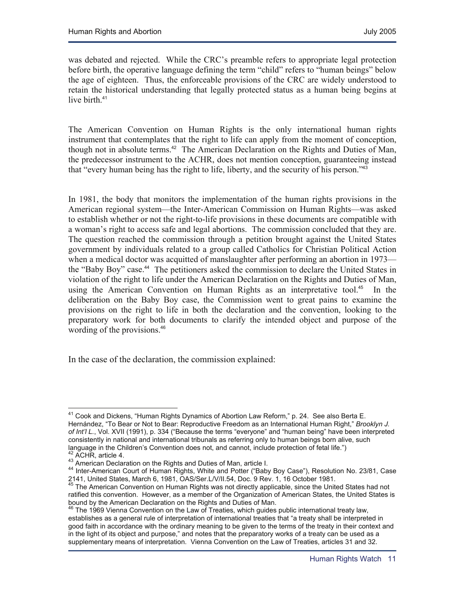was debated and rejected. While the CRC's preamble refers to appropriate legal protection before birth, the operative language defining the term "child" refers to "human beings" below the age of eighteen. Thus, the enforceable provisions of the CRC are widely understood to retain the historical understanding that legally protected status as a human being begins at live birth.<sup>41</sup>

The American Convention on Human Rights is the only international human rights instrument that contemplates that the right to life can apply from the moment of conception, though not in absolute terms.<sup>42</sup> The American Declaration on the Rights and Duties of Man, the predecessor instrument to the ACHR, does not mention conception, guaranteeing instead that "every human being has the right to life, liberty, and the security of his person."<sup>43</sup>

In 1981, the body that monitors the implementation of the human rights provisions in the American regional system—the Inter-American Commission on Human Rights—was asked to establish whether or not the right-to-life provisions in these documents are compatible with a woman's right to access safe and legal abortions. The commission concluded that they are. The question reached the commission through a petition brought against the United States government by individuals related to a group called Catholics for Christian Political Action when a medical doctor was acquitted of manslaughter after performing an abortion in 1973 the "Baby Boy" case.<sup>44</sup> The petitioners asked the commission to declare the United States in violation of the right to life under the American Declaration on the Rights and Duties of Man, using the American Convention on Human Rights as an interpretative tool.<sup>45</sup> In the deliberation on the Baby Boy case, the Commission went to great pains to examine the provisions on the right to life in both the declaration and the convention, looking to the preparatory work for both documents to clarify the intended object and purpose of the wording of the provisions.<sup>46</sup>

In the case of the declaration, the commission explained:

 $\overline{a}$  $41$  Cook and Dickens, "Human Rights Dynamics of Abortion Law Reform," p. 24. See also Berta E. Hernández, "To Bear or Not to Bear: Reproductive Freedom as an International Human Right," *Brooklyn J. of Int'l L.*, Vol. XVII (1991), p. 334 ("Because the terms "everyone" and "human being" have been interpreted consistently in national and international tribunals as referring only to human beings born alive, such language in the Children's Convention does not, and cannot, include protection of fetal life.")

<sup>&</sup>lt;sup>42</sup> ACHR, article 4.<br><sup>43</sup> American Declaration on the Rights and Duties of Man, article I.<br><sup>44</sup> Inter-American Court of Human Rights, White and Potter ("Baby Boy Case"), Resolution No. 23/81, Case 2141, United States, March 6, 1981, OAS/Ser.L/V/II.54, Doc. 9 Rev. 1, 16 October 1981.<br><sup>45</sup> The American Convention on Human Rights was not directly applicable, since the United States had not

ratified this convention. However, as a member of the Organization of American States, the United States is bound by the American Declaration on the Rights and Duties of Man.<br><sup>46</sup> The 1969 Vienna Convention on the Law of Treaties, which guides public international treaty law,

establishes as a general rule of interpretation of international treaties that "a treaty shall be interpreted in good faith in accordance with the ordinary meaning to be given to the terms of the treaty in their context and in the light of its object and purpose," and notes that the preparatory works of a treaty can be used as a supplementary means of interpretation. Vienna Convention on the Law of Treaties, articles 31 and 32.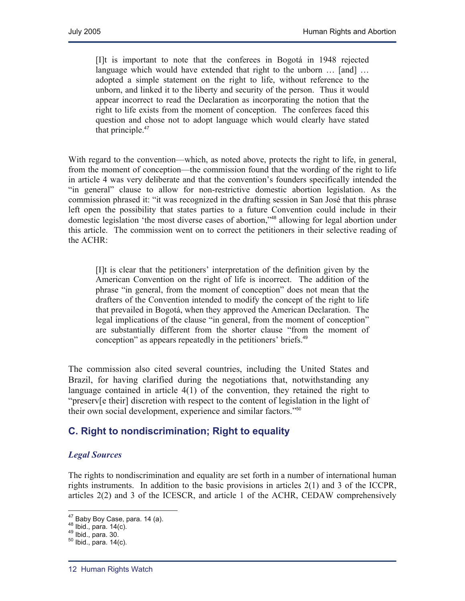[I]t is important to note that the conferees in Bogotá in 1948 rejected language which would have extended that right to the unborn ... [and] ... adopted a simple statement on the right to life, without reference to the unborn, and linked it to the liberty and security of the person. Thus it would appear incorrect to read the Declaration as incorporating the notion that the right to life exists from the moment of conception. The conferees faced this question and chose not to adopt language which would clearly have stated that principle.<sup>47</sup>

With regard to the convention—which, as noted above, protects the right to life, in general, from the moment of conception—the commission found that the wording of the right to life in article 4 was very deliberate and that the convention's founders specifically intended the "in general" clause to allow for non-restrictive domestic abortion legislation. As the commission phrased it: "it was recognized in the drafting session in San José that this phrase left open the possibility that states parties to a future Convention could include in their domestic legislation 'the most diverse cases of abortion,"<sup>48</sup> allowing for legal abortion under this article. The commission went on to correct the petitioners in their selective reading of the ACHR:

[I]t is clear that the petitioners' interpretation of the definition given by the American Convention on the right of life is incorrect. The addition of the phrase "in general, from the moment of conception" does not mean that the drafters of the Convention intended to modify the concept of the right to life that prevailed in Bogotá, when they approved the American Declaration. The legal implications of the clause "in general, from the moment of conception" are substantially different from the shorter clause "from the moment of conception" as appears repeatedly in the petitioners' briefs.<sup>49</sup>

The commission also cited several countries, including the United States and Brazil, for having clarified during the negotiations that, notwithstanding any language contained in article 4(1) of the convention, they retained the right to "preserv[e their] discretion with respect to the content of legislation in the light of their own social development, experience and similar factors."<sup>50</sup>

## **C. Right to nondiscrimination; Right to equality**

#### *Legal Sources*

The rights to nondiscrimination and equality are set forth in a number of international human rights instruments. In addition to the basic provisions in articles 2(1) and 3 of the ICCPR, articles 2(2) and 3 of the ICESCR, and article 1 of the ACHR, CEDAW comprehensively

 $\overline{a}$ 

<sup>&</sup>lt;sup>47</sup> Baby Boy Case, para. 14 (a).<br><sup>48</sup> Ibid., para. 14(c).<br><sup>49</sup> Ibid., para. 30.<br><sup>50</sup> Ibid., para. 14(c).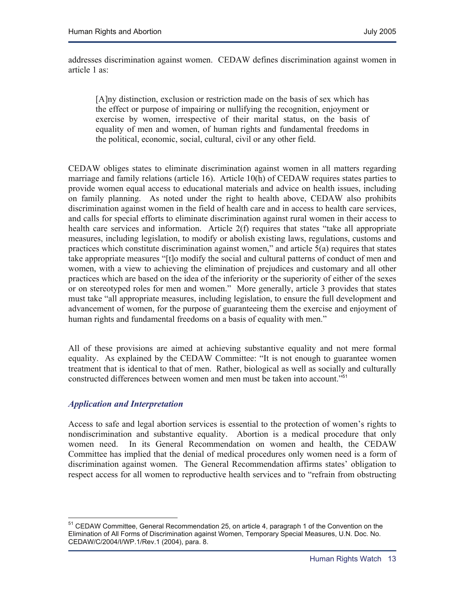addresses discrimination against women. CEDAW defines discrimination against women in article 1 as:

[A]ny distinction, exclusion or restriction made on the basis of sex which has the effect or purpose of impairing or nullifying the recognition, enjoyment or exercise by women, irrespective of their marital status, on the basis of equality of men and women, of human rights and fundamental freedoms in the political, economic, social, cultural, civil or any other field.

CEDAW obliges states to eliminate discrimination against women in all matters regarding marriage and family relations (article 16). Article 10(h) of CEDAW requires states parties to provide women equal access to educational materials and advice on health issues, including on family planning. As noted under the right to health above, CEDAW also prohibits discrimination against women in the field of health care and in access to health care services, and calls for special efforts to eliminate discrimination against rural women in their access to health care services and information. Article 2(f) requires that states "take all appropriate measures, including legislation, to modify or abolish existing laws, regulations, customs and practices which constitute discrimination against women," and article 5(a) requires that states take appropriate measures "[t]o modify the social and cultural patterns of conduct of men and women, with a view to achieving the elimination of prejudices and customary and all other practices which are based on the idea of the inferiority or the superiority of either of the sexes or on stereotyped roles for men and women." More generally, article 3 provides that states must take "all appropriate measures, including legislation, to ensure the full development and advancement of women, for the purpose of guaranteeing them the exercise and enjoyment of human rights and fundamental freedoms on a basis of equality with men."

All of these provisions are aimed at achieving substantive equality and not mere formal equality. As explained by the CEDAW Committee: "It is not enough to guarantee women treatment that is identical to that of men. Rather, biological as well as socially and culturally constructed differences between women and men must be taken into account."<sup>51</sup>

## *Application and Interpretation*

Access to safe and legal abortion services is essential to the protection of women's rights to nondiscrimination and substantive equality. Abortion is a medical procedure that only women need. In its General Recommendation on women and health, the CEDAW Committee has implied that the denial of medical procedures only women need is a form of discrimination against women. The General Recommendation affirms states' obligation to respect access for all women to reproductive health services and to "refrain from obstructing

 $\overline{a}$ <sup>51</sup> CEDAW Committee, General Recommendation 25, on article 4, paragraph 1 of the Convention on the Elimination of All Forms of Discrimination against Women, Temporary Special Measures, U.N. Doc. No. CEDAW/C/2004/I/WP.1/Rev.1 (2004), para. 8.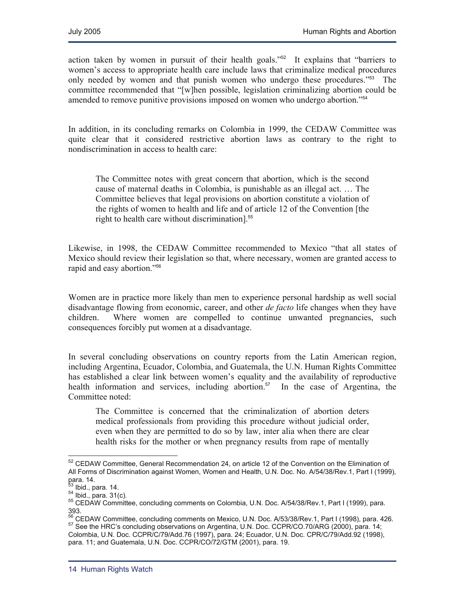action taken by women in pursuit of their health goals."<sup>52</sup> It explains that "barriers to women's access to appropriate health care include laws that criminalize medical procedures only needed by women and that punish women who undergo these procedures."<sup>53</sup> The committee recommended that "[w]hen possible, legislation criminalizing abortion could be amended to remove punitive provisions imposed on women who undergo abortion."<sup>54</sup>

In addition, in its concluding remarks on Colombia in 1999, the CEDAW Committee was quite clear that it considered restrictive abortion laws as contrary to the right to nondiscrimination in access to health care:

The Committee notes with great concern that abortion, which is the second cause of maternal deaths in Colombia, is punishable as an illegal act. … The Committee believes that legal provisions on abortion constitute a violation of the rights of women to health and life and of article 12 of the Convention [the right to health care without discrimination].<sup>55</sup>

Likewise, in 1998, the CEDAW Committee recommended to Mexico "that all states of Mexico should review their legislation so that, where necessary, women are granted access to rapid and easy abortion."<sup>56</sup>

Women are in practice more likely than men to experience personal hardship as well social disadvantage flowing from economic, career, and other *de facto* life changes when they have children. Where women are compelled to continue unwanted pregnancies, such consequences forcibly put women at a disadvantage.

In several concluding observations on country reports from the Latin American region, including Argentina, Ecuador, Colombia, and Guatemala, the U.N. Human Rights Committee has established a clear link between women's equality and the availability of reproductive health information and services, including abortion.<sup>57</sup> In the case of Argentina, the Committee noted:

The Committee is concerned that the criminalization of abortion deters medical professionals from providing this procedure without judicial order, even when they are permitted to do so by law, inter alia when there are clear health risks for the mother or when pregnancy results from rape of mentally

 $\overline{a}$  $52$  CEDAW Committee, General Recommendation 24, on article 12 of the Convention on the Elimination of All Forms of Discrimination against Women, Women and Health, U.N. Doc. No. A/54/38/Rev.1, Part I (1999), para. 14.<br> $\frac{53}{2}$  Ibid., para. 14.

 $^{54}$  Ibid., para. 14.<br><sup>54</sup> Ibid., para. 31(c).<br><sup>55</sup> CEDAW Committee, concluding comments on Colombia, U.N. Doc. A/54/38/Rev.1, Part I (1999), para. 393.

<sup>&</sup>lt;sup>56</sup> CEDAW Committee, concluding comments on Mexico, U.N. Doc. A/53/38/Rev.1, Part I (1998), para. 426.<br><sup>57</sup> See the HRC's concluding observations on Argentina, U.N. Doc. CCPR/CO.70/ARG (2000), para. 14; 57 See the HRC's concluding observations on Argentina, U.N. Doc. CCPR/CO.70/ARG (2000), para. 14;<br>Colombia, U.N. Doc. CCPR/C/79/Add.76 (1997), para. 24; Ecuador, U.N. Doc. CPR/C/79/Add.92 (1998), para. 11; and Guatemala, U.N. Doc. CCPR/CO/72/GTM (2001), para. 19.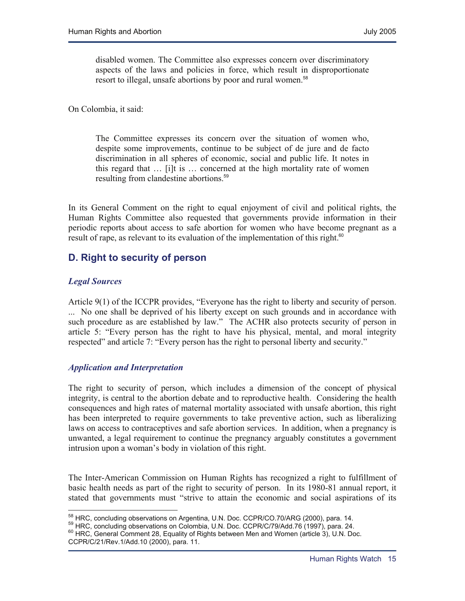disabled women. The Committee also expresses concern over discriminatory aspects of the laws and policies in force, which result in disproportionate resort to illegal, unsafe abortions by poor and rural women.<sup>58</sup>

On Colombia, it said:

The Committee expresses its concern over the situation of women who, despite some improvements, continue to be subject of de jure and de facto discrimination in all spheres of economic, social and public life. It notes in this regard that … [i]t is … concerned at the high mortality rate of women resulting from clandestine abortions.<sup>59</sup>

In its General Comment on the right to equal enjoyment of civil and political rights, the Human Rights Committee also requested that governments provide information in their periodic reports about access to safe abortion for women who have become pregnant as a result of rape, as relevant to its evaluation of the implementation of this right.<sup>60</sup>

# **D. Right to security of person**

## *Legal Sources*

Article 9(1) of the ICCPR provides, "Everyone has the right to liberty and security of person. ... No one shall be deprived of his liberty except on such grounds and in accordance with such procedure as are established by law." The ACHR also protects security of person in article 5: "Every person has the right to have his physical, mental, and moral integrity respected" and article 7: "Every person has the right to personal liberty and security."

#### *Application and Interpretation*

The right to security of person, which includes a dimension of the concept of physical integrity, is central to the abortion debate and to reproductive health. Considering the health consequences and high rates of maternal mortality associated with unsafe abortion, this right has been interpreted to require governments to take preventive action, such as liberalizing laws on access to contraceptives and safe abortion services. In addition, when a pregnancy is unwanted, a legal requirement to continue the pregnancy arguably constitutes a government intrusion upon a woman's body in violation of this right.

The Inter-American Commission on Human Rights has recognized a right to fulfillment of basic health needs as part of the right to security of person. In its 1980-81 annual report, it stated that governments must "strive to attain the economic and social aspirations of its

CCPR/C/21/Rev.1/Add.10 (2000), para. 11.

<sup>58</sup> HRC, concluding observations on Argentina, U.N. Doc. CCPR/CO.70/ARG (2000), para. 14.

<sup>&</sup>lt;sup>59</sup> HRC, concluding observations on Colombia, U.N. Doc. CCPR/C/79/Add.76 (1997), para. 24.<br><sup>60</sup> HRC, General Comment 28, Equality of Rights between Men and Women (article 3), U.N. Doc.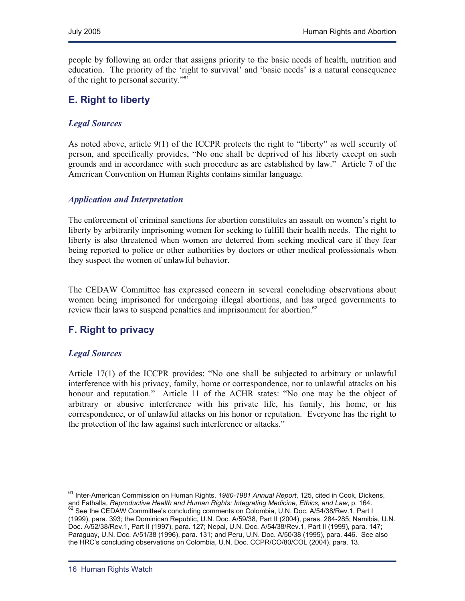people by following an order that assigns priority to the basic needs of health, nutrition and education. The priority of the 'right to survival' and 'basic needs' is a natural consequence of the right to personal security."<sup>61</sup>

# **E. Right to liberty**

### *Legal Sources*

As noted above, article 9(1) of the ICCPR protects the right to "liberty" as well security of person, and specifically provides, "No one shall be deprived of his liberty except on such grounds and in accordance with such procedure as are established by law." Article 7 of the American Convention on Human Rights contains similar language.

#### *Application and Interpretation*

The enforcement of criminal sanctions for abortion constitutes an assault on women's right to liberty by arbitrarily imprisoning women for seeking to fulfill their health needs. The right to liberty is also threatened when women are deterred from seeking medical care if they fear being reported to police or other authorities by doctors or other medical professionals when they suspect the women of unlawful behavior.

The CEDAW Committee has expressed concern in several concluding observations about women being imprisoned for undergoing illegal abortions, and has urged governments to review their laws to suspend penalties and imprisonment for abortion.<sup>62</sup>

# **F. Right to privacy**

## *Legal Sources*

 $\overline{a}$ 

Article 17(1) of the ICCPR provides: "No one shall be subjected to arbitrary or unlawful interference with his privacy, family, home or correspondence, nor to unlawful attacks on his honour and reputation." Article 11 of the ACHR states: "No one may be the object of arbitrary or abusive interference with his private life, his family, his home, or his correspondence, or of unlawful attacks on his honor or reputation. Everyone has the right to the protection of the law against such interference or attacks."

<sup>61</sup> Inter-American Commission on Human Rights, *1980-1981 Annual Report*, 125, cited in Cook, Dickens, and Fathalla, *Reproductive Health and Human Rights: Integrating Medicine, Ethics, and Law*, p. 164.<br><sup>62</sup> See the CEDAW Committee's concluding comments on Colombia, U.N. Doc. A/54/38/Rev.1, Part I (1999), para. 393; the Dominican Republic, U.N. Doc. A/59/38, Part II (2004), paras. 284-285; Namibia, U.N.

Doc. A/52/38/Rev.1, Part II (1997), para. 127; Nepal, U.N. Doc. A/54/38/Rev.1, Part II (1999), para. 147; Paraguay, U.N. Doc. A/51/38 (1996), para. 131; and Peru, U.N. Doc. A/50/38 (1995), para. 446. See also the HRC's concluding observations on Colombia, U.N. Doc. CCPR/CO/80/COL (2004), para. 13.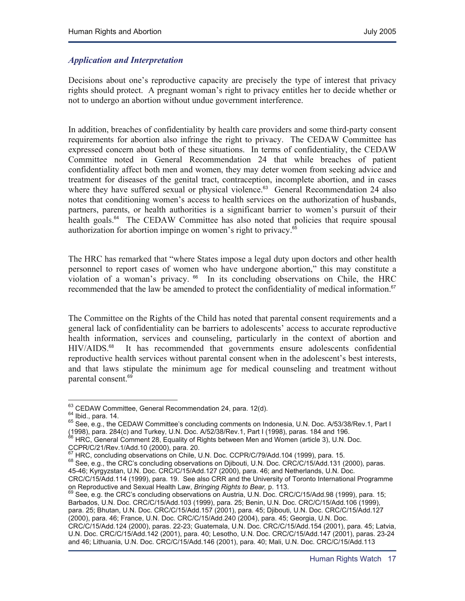#### *Application and Interpretation*

Decisions about one's reproductive capacity are precisely the type of interest that privacy rights should protect. A pregnant woman's right to privacy entitles her to decide whether or not to undergo an abortion without undue government interference.

In addition, breaches of confidentiality by health care providers and some third-party consent requirements for abortion also infringe the right to privacy. The CEDAW Committee has expressed concern about both of these situations. In terms of confidentiality, the CEDAW Committee noted in General Recommendation 24 that while breaches of patient confidentiality affect both men and women, they may deter women from seeking advice and treatment for diseases of the genital tract, contraception, incomplete abortion, and in cases where they have suffered sexual or physical violence.<sup>63</sup> General Recommendation 24 also notes that conditioning women's access to health services on the authorization of husbands, partners, parents, or health authorities is a significant barrier to women's pursuit of their health goals.<sup>64</sup> The CEDAW Committee has also noted that policies that require spousal authorization for abortion impinge on women's right to privacy.<sup>65</sup>

The HRC has remarked that "where States impose a legal duty upon doctors and other health personnel to report cases of women who have undergone abortion," this may constitute a violation of a woman's privacy.  $66$  In its concluding observations on Chile, the HRC recommended that the law be amended to protect the confidentiality of medical information.<sup>67</sup>

The Committee on the Rights of the Child has noted that parental consent requirements and a general lack of confidentiality can be barriers to adolescents' access to accurate reproductive health information, services and counseling, particularly in the context of abortion and HIV/AIDS.<sup>68</sup> It has recommended that governments ensure adolescents confidential reproductive health services without parental consent when in the adolescent's best interests, and that laws stipulate the minimum age for medical counseling and treatment without parental consent.<sup>69</sup>

See, e.g. the CRC's concluding observations on Austria, U.N. Doc. CRC/C/15/Add.98 (1999), para. 15; Barbados, U.N. Doc. CRC/C/15/Add.103 (1999), para. 25; Benin, U.N. Doc. CRC/C/15/Add.106 (1999), para. 25; Bhutan, U.N. Doc. CRC/C/15/Add.157 (2001), para. 45; Djibouti, U.N. Doc. CRC/C/15/Add.127 (2000), para. 46; France, U.N. Doc. CRC/C/15/Add.240 (2004), para. 45; Georgia, U.N. Doc. CRC/C/15/Add.124 (2000), paras. 22-23; Guatemala, U.N. Doc. CRC/C/15/Add.154 (2001), para. 45; Latvia, U.N. Doc. CRC/C/15/Add.142 (2001), para. 40; Lesotho, U.N. Doc. CRC/C/15/Add.147 (2001), paras. 23-24 and 46; Lithuania, U.N. Doc. CRC/C/15/Add.146 (2001), para. 40; Mali, U.N. Doc. CRC/C/15/Add.113

<sup>63</sup> CEDAW Committee, General Recommendation 24, para. 12(d).

 $^{64}$  Ibid., para. 14.<br> $^{65}$  See, e.g., the CEDAW Committee's concluding comments on Indonesia, U.N. Doc. A/53/38/Rev.1, Part I (1998), para. 284(c) and Turkey, U.N. Doc. A/52/38/Rev.1, Part I (1998), paras. 184 and 196.<br><sup>66</sup> HRC, General Comment 28, Equality of Rights between Men and Women (article 3), U.N. Doc.

CCPR/C/21/Rev.1/Add.10 (2000), para. 20.<br><sup>67</sup> HRC, concluding observations on Chile, U.N. Doc. CCPR/C/79/Add.104 (1999), para. 15.

<sup>68</sup> See, e.g., the CRC's concluding observations on Djibouti, U.N. Doc. CRC/C/15/Add.131 (2000), paras. 45-46; Kyrgyzstan, U.N. Doc. CRC/C/15/Add.127 (2000), para. 46; and Netherlands, U.N. Doc.

CRC/C/15/Add.114 (1999), para. 19. See also CRR and the University of Toronto International Programme<br>on Reproductive and Sexual Health Law, *Bringing Rights to Bear*, p. 113.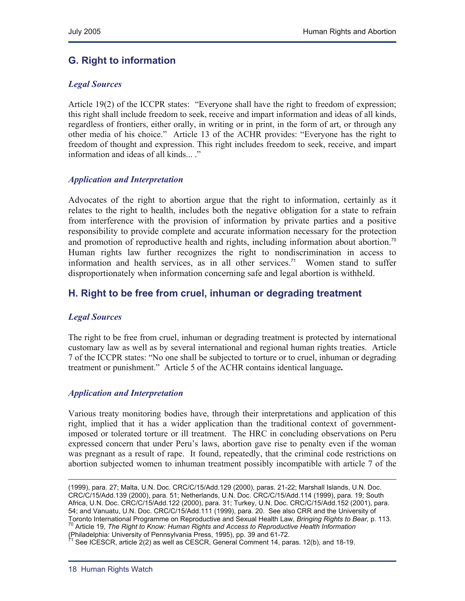# **G. Right to information**

#### *Legal Sources*

Article 19(2) of the ICCPR states: "Everyone shall have the right to freedom of expression; this right shall include freedom to seek, receive and impart information and ideas of all kinds, regardless of frontiers, either orally, in writing or in print, in the form of art, or through any other media of his choice." Article 13 of the ACHR provides: "Everyone has the right to freedom of thought and expression. This right includes freedom to seek, receive, and impart information and ideas of all kinds... ."

#### *Application and Interpretation*

Advocates of the right to abortion argue that the right to information, certainly as it relates to the right to health, includes both the negative obligation for a state to refrain from interference with the provision of information by private parties and a positive responsibility to provide complete and accurate information necessary for the protection and promotion of reproductive health and rights, including information about abortion.<sup>70</sup> Human rights law further recognizes the right to nondiscrimination in access to information and health services, as in all other services.<sup>71</sup> Women stand to suffer disproportionately when information concerning safe and legal abortion is withheld.

# **H. Right to be free from cruel, inhuman or degrading treatment**

#### *Legal Sources*

 $\overline{a}$ 

The right to be free from cruel, inhuman or degrading treatment is protected by international customary law as well as by several international and regional human rights treaties. Article 7 of the ICCPR states: "No one shall be subjected to torture or to cruel, inhuman or degrading treatment or punishment." Article 5 of the ACHR contains identical language**.** 

#### *Application and Interpretation*

Various treaty monitoring bodies have, through their interpretations and application of this right, implied that it has a wider application than the traditional context of governmentimposed or tolerated torture or ill treatment. The HRC in concluding observations on Peru expressed concern that under Peru's laws, abortion gave rise to penalty even if the woman was pregnant as a result of rape. It found, repeatedly, that the criminal code restrictions on abortion subjected women to inhuman treatment possibly incompatible with article 7 of the

(Philadelphia: University of Pennsylvania Press, 1995), pp. 39 and 61-72.

<sup>(1999),</sup> para. 27; Malta, U.N. Doc. CRC/C/15/Add.129 (2000), paras. 21-22; Marshall Islands, U.N. Doc. CRC/C/15/Add.139 (2000), para. 51; Netherlands, U.N. Doc. CRC/C/15/Add.114 (1999), para. 19; South Africa, U.N. Doc. CRC/C/15/Add.122 (2000), para. 31; Turkey, U.N. Doc. CRC/C/15/Add.152 (2001), para. 54; and Vanuatu, U.N. Doc. CRC/C/15/Add.111 (1999), para. 20. See also CRR and the University of<br>Toronto International Programme on Reproductive and Sexual Health Law, *Bringing Rights to Bear*, p. 113. To Article 19, The Right to Know: Human Rights and Access to Reproductive Health Information

See ICESCR, article 2(2) as well as CESCR, General Comment 14, paras. 12(b), and 18-19.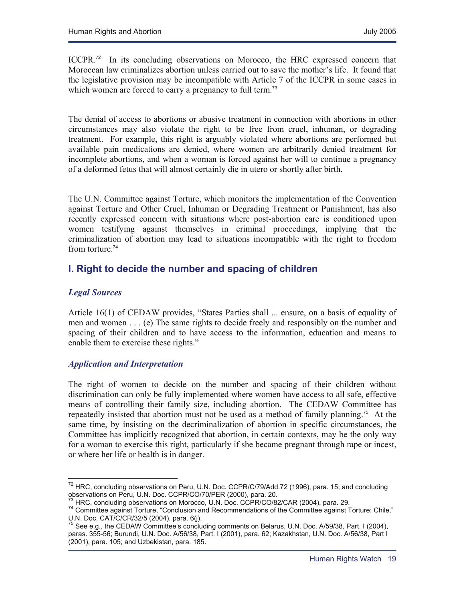ICCPR.<sup>72</sup> In its concluding observations on Morocco, the HRC expressed concern that Moroccan law criminalizes abortion unless carried out to save the mother's life. It found that the legislative provision may be incompatible with Article 7 of the ICCPR in some cases in which women are forced to carry a pregnancy to full term.<sup>73</sup>

The denial of access to abortions or abusive treatment in connection with abortions in other circumstances may also violate the right to be free from cruel, inhuman, or degrading treatment. For example, this right is arguably violated where abortions are performed but available pain medications are denied, where women are arbitrarily denied treatment for incomplete abortions, and when a woman is forced against her will to continue a pregnancy of a deformed fetus that will almost certainly die in utero or shortly after birth.

The U.N. Committee against Torture, which monitors the implementation of the Convention against Torture and Other Cruel, Inhuman or Degrading Treatment or Punishment, has also recently expressed concern with situations where post-abortion care is conditioned upon women testifying against themselves in criminal proceedings, implying that the criminalization of abortion may lead to situations incompatible with the right to freedom from torture.<sup>74</sup>

# **I. Right to decide the number and spacing of children**

## *Legal Sources*

Article 16(1) of CEDAW provides, "States Parties shall ... ensure, on a basis of equality of men and women . . . (e) The same rights to decide freely and responsibly on the number and spacing of their children and to have access to the information, education and means to enable them to exercise these rights."

## *Application and Interpretation*

The right of women to decide on the number and spacing of their children without discrimination can only be fully implemented where women have access to all safe, effective means of controlling their family size, including abortion. The CEDAW Committee has repeatedly insisted that abortion must not be used as a method of family planning.<sup>75</sup> At the same time, by insisting on the decriminalization of abortion in specific circumstances, the Committee has implicitly recognized that abortion, in certain contexts, may be the only way for a woman to exercise this right, particularly if she became pregnant through rape or incest, or where her life or health is in danger.

 $\overline{a}$  $^{72}$  HRC, concluding observations on Peru, U.N. Doc. CCPR/C/79/Add.72 (1996), para. 15; and concluding observations on Peru, U.N. Doc. CCPR/CO/70/PER (2000), para. 20.<br>
<sup>73</sup> HRC, concluding observations on Morocco, U.N. Doc. CCPR/CO/82/CAR (2004), para. 29.<br>
<sup>74</sup> Committee against Torture, "Conclusion and Recommendations of

U.N. Doc. CAT/C/CR/32/5 (2004), para. 6(j).<br>U.N. Doc. CAT/C/CR/32/5 (2004), para. 6(j).<br><sup>75</sup> See e.g., the CEDAW Committee's concluding comments on Belarus, U.N. Doc. A/59/38, Part. I (2004),

paras. 355-56; Burundi, U.N. Doc. A/56/38, Part. I (2001), para. 62; Kazakhstan, U.N. Doc. A/56/38, Part I (2001), para. 105; and Uzbekistan, para. 185.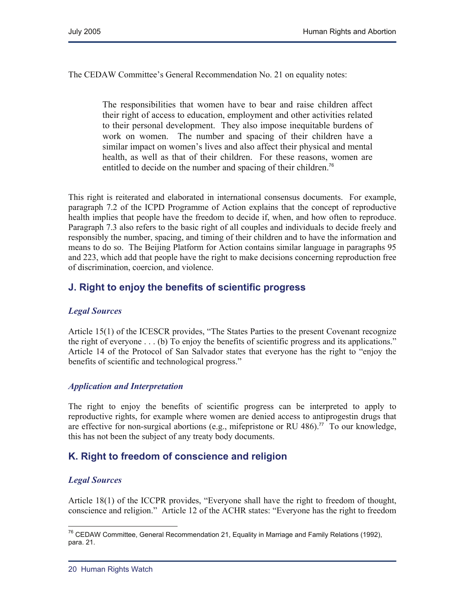The CEDAW Committee's General Recommendation No. 21 on equality notes:

The responsibilities that women have to bear and raise children affect their right of access to education, employment and other activities related to their personal development. They also impose inequitable burdens of work on women. The number and spacing of their children have a similar impact on women's lives and also affect their physical and mental health, as well as that of their children. For these reasons, women are entitled to decide on the number and spacing of their children.<sup>76</sup>

This right is reiterated and elaborated in international consensus documents. For example, paragraph 7.2 of the ICPD Programme of Action explains that the concept of reproductive health implies that people have the freedom to decide if, when, and how often to reproduce. Paragraph 7.3 also refers to the basic right of all couples and individuals to decide freely and responsibly the number, spacing, and timing of their children and to have the information and means to do so. The Beijing Platform for Action contains similar language in paragraphs 95 and 223, which add that people have the right to make decisions concerning reproduction free of discrimination, coercion, and violence.

# **J. Right to enjoy the benefits of scientific progress**

## *Legal Sources*

Article 15(1) of the ICESCR provides, "The States Parties to the present Covenant recognize the right of everyone . . . (b) To enjoy the benefits of scientific progress and its applications." Article 14 of the Protocol of San Salvador states that everyone has the right to "enjoy the benefits of scientific and technological progress."

## *Application and Interpretation*

The right to enjoy the benefits of scientific progress can be interpreted to apply to reproductive rights, for example where women are denied access to antiprogestin drugs that are effective for non-surgical abortions (e.g., mifepristone or RU 486).<sup>77</sup> To our knowledge, this has not been the subject of any treaty body documents.

# **K. Right to freedom of conscience and religion**

## *Legal Sources*

Article 18(1) of the ICCPR provides, "Everyone shall have the right to freedom of thought, conscience and religion." Article 12 of the ACHR states: "Everyone has the right to freedom

 $\overline{a}$  $^{76}$  CEDAW Committee, General Recommendation 21, Equality in Marriage and Family Relations (1992), para. 21.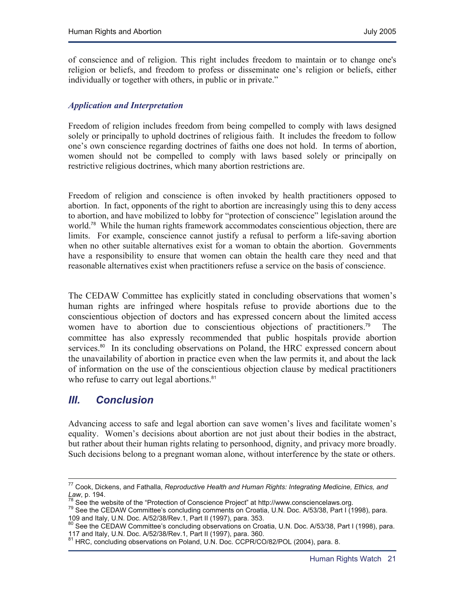of conscience and of religion. This right includes freedom to maintain or to change one's religion or beliefs, and freedom to profess or disseminate one's religion or beliefs, either individually or together with others, in public or in private."

### *Application and Interpretation*

Freedom of religion includes freedom from being compelled to comply with laws designed solely or principally to uphold doctrines of religious faith. It includes the freedom to follow one's own conscience regarding doctrines of faiths one does not hold. In terms of abortion, women should not be compelled to comply with laws based solely or principally on restrictive religious doctrines, which many abortion restrictions are.

Freedom of religion and conscience is often invoked by health practitioners opposed to abortion. In fact, opponents of the right to abortion are increasingly using this to deny access to abortion, and have mobilized to lobby for "protection of conscience" legislation around the world.<sup>78</sup> While the human rights framework accommodates conscientious objection, there are limits. For example, conscience cannot justify a refusal to perform a life-saving abortion when no other suitable alternatives exist for a woman to obtain the abortion. Governments have a responsibility to ensure that women can obtain the health care they need and that reasonable alternatives exist when practitioners refuse a service on the basis of conscience.

The CEDAW Committee has explicitly stated in concluding observations that women's human rights are infringed where hospitals refuse to provide abortions due to the conscientious objection of doctors and has expressed concern about the limited access women have to abortion due to conscientious objections of practitioners.79 The committee has also expressly recommended that public hospitals provide abortion services.<sup>80</sup> In its concluding observations on Poland, the HRC expressed concern about the unavailability of abortion in practice even when the law permits it, and about the lack of information on the use of the conscientious objection clause by medical practitioners who refuse to carry out legal abortions.<sup>81</sup>

# *III. Conclusion*

Advancing access to safe and legal abortion can save women's lives and facilitate women's equality. Women's decisions about abortion are not just about their bodies in the abstract, but rather about their human rights relating to personhood, dignity, and privacy more broadly. Such decisions belong to a pregnant woman alone, without interference by the state or others.

77 Cook, Dickens, and Fathalla, *Reproductive Health and Human Rights: Integrating Medicine, Ethics, and*  Law, p. 194.<br><sup>78</sup> See the website of the "Protection of Conscience Project" at http://www.consciencelaws.org.<br><sup>79</sup> See the CEDAW Committee's concluding comments on Croatia, U.N. Doc. A/53/38, Part I (1998), para.

<sup>109</sup> and Italy, U.N. Doc. A/52/38/Rev.1, Part II (1997), para. 353.<br><sup>80</sup> See the CEDAW Committee's concluding observations on Croatia, U.N. Doc. A/53/38, Part I (1998), para.

<sup>117</sup> and Italy, U.N. Doc. A/52/38/Rev.1, Part II (1997), para. 360.<br><sup>81</sup> HRC, concluding observations on Poland, U.N. Doc. CCPR/CO/82/POL (2004), para. 8.